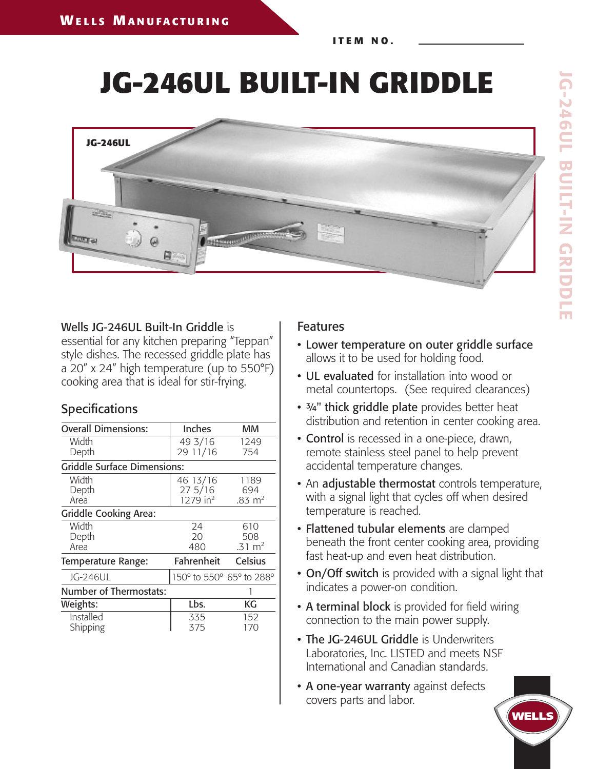# **JG-246UL BUILT-IN GRIDDLE**



## Wells JG-246UL Built-In Griddle is

essential for any kitchen preparing "Teppan" style dishes. The recessed griddle plate has a 20" x 24" high temperature (up to 550°F) cooking area that is ideal for stir-frying.

## Specifications

| <b>Overall Dimensions:</b>         | Inches                                       | мм                                 |  |  |  |  |  |
|------------------------------------|----------------------------------------------|------------------------------------|--|--|--|--|--|
| Width<br>Depth                     | 49 3/16<br>29 11/16                          | 1249<br>754                        |  |  |  |  |  |
| <b>Griddle Surface Dimensions:</b> |                                              |                                    |  |  |  |  |  |
| Width<br>Depth<br>Area             | 46 13/16<br>275/16<br>$1279$ in <sup>2</sup> | 1189<br>694<br>$.83 \; \text{m}^2$ |  |  |  |  |  |
| <b>Griddle Cooking Area:</b>       |                                              |                                    |  |  |  |  |  |
| Width<br>Depth<br>Area             | 24<br>20<br>480                              | 610<br>508<br>$.31 \text{ m}^2$    |  |  |  |  |  |
| Temperature Range:                 | Fahrenheit                                   | <b>Celsius</b>                     |  |  |  |  |  |
| JG-246UL                           | 150° to 550° 65° to 288°                     |                                    |  |  |  |  |  |
| Number of Thermostats:             |                                              |                                    |  |  |  |  |  |
| Weights:                           | Lbs.                                         | КG                                 |  |  |  |  |  |
| Installed<br>Shipping              | 335<br>375                                   | 152<br>170                         |  |  |  |  |  |

## Features

- Lower temperature on outer griddle surface allows it to be used for holding food.
- UL evaluated for installation into wood or metal countertops. (See required clearances)
- 3/4" thick griddle plate provides better heat distribution and retention in center cooking area.
- **Control** is recessed in a one-piece, drawn, remote stainless steel panel to help prevent accidental temperature changes.
- An adjustable thermostat controls temperature, with a signal light that cycles off when desired temperature is reached.
- Flattened tubular elements are clamped beneath the front center cooking area, providing fast heat-up and even heat distribution.
- On/Off switch is provided with a signal light that indicates a power-on condition.
- A terminal block is provided for field wiring connection to the main power supply.
- The JG-246UL Griddle is Underwriters Laboratories, Inc. LISTED and meets NSF International and Canadian standards.
- A one-year warranty against defects covers parts and labor.